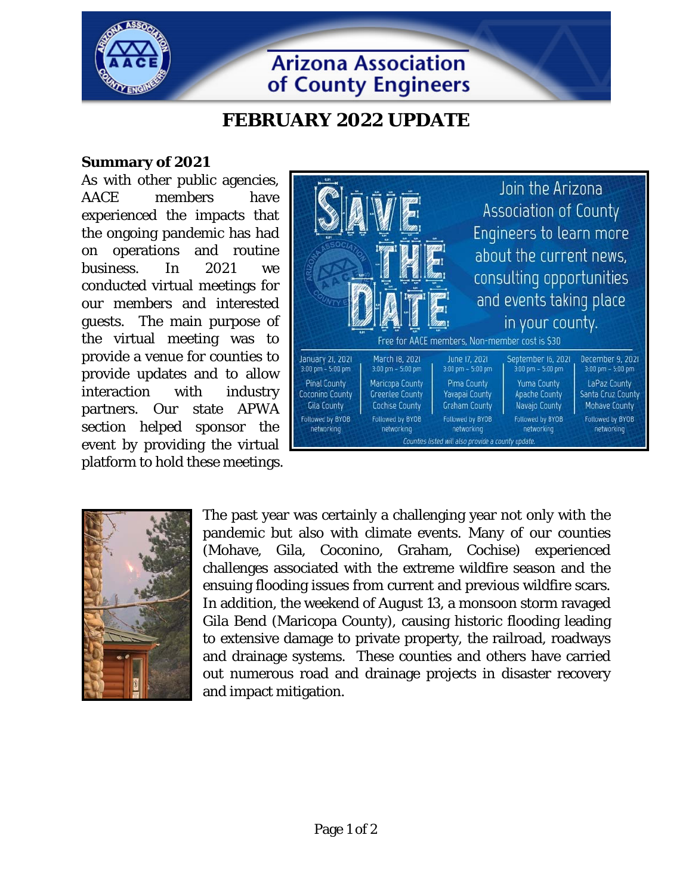

**Arizona Association** of County Engineers

## **FEBRUARY 2022 UPDATE**

## **Summary of 2021**

As with other public agencies, AACE members have experienced the impacts that the ongoing pandemic has had on operations and routine business. In 2021 we conducted virtual meetings for our members and interested guests. The main purpose of the virtual meeting was to provide a venue for counties to provide updates and to allow interaction with industry partners. Our state APWA section helped sponsor the event by providing the virtual platform to hold these meetings.





The past year was certainly a challenging year not only with the pandemic but also with climate events. Many of our counties (Mohave, Gila, Coconino, Graham, Cochise) experienced challenges associated with the extreme wildfire season and the ensuing flooding issues from current and previous wildfire scars. In addition, the weekend of August 13, a monsoon storm ravaged Gila Bend (Maricopa County), causing historic flooding leading to extensive damage to private property, the railroad, roadways and drainage systems. These counties and others have carried out numerous road and drainage projects in disaster recovery and impact mitigation.